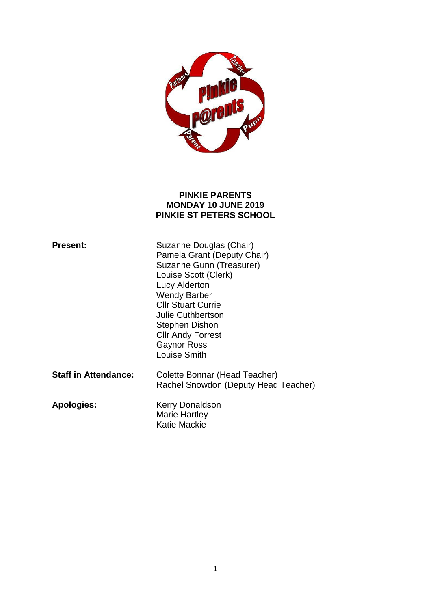

#### **PINKIE PARENTS MONDAY 10 JUNE 2019 PINKIE ST PETERS SCHOOL**

| <b>Present:</b>             | Suzanne Douglas (Chair)<br>Pamela Grant (Deputy Chair)<br>Suzanne Gunn (Treasurer)<br>Louise Scott (Clerk)<br>Lucy Alderton<br><b>Wendy Barber</b><br><b>CIIr Stuart Currie</b><br><b>Julie Cuthbertson</b><br>Stephen Dishon<br><b>Cllr Andy Forrest</b><br><b>Gaynor Ross</b><br>Louise Smith |
|-----------------------------|-------------------------------------------------------------------------------------------------------------------------------------------------------------------------------------------------------------------------------------------------------------------------------------------------|
| <b>Staff in Attendance:</b> | Colette Bonnar (Head Teacher)<br>Rachel Snowdon (Deputy Head Teacher)                                                                                                                                                                                                                           |
| <b>Apologies:</b>           | <b>Kerry Donaldson</b><br>Marie Hartley<br>Katie Mackie                                                                                                                                                                                                                                         |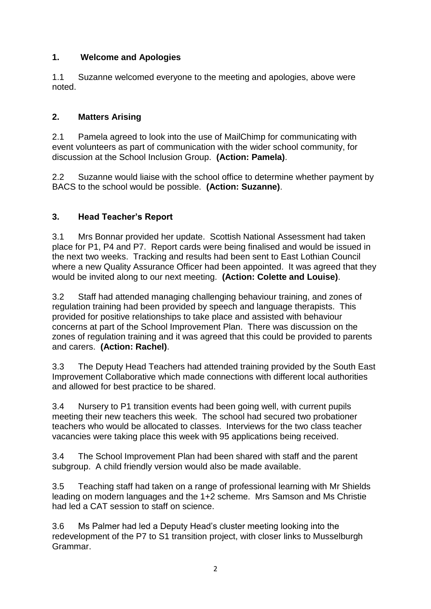## **1. Welcome and Apologies**

1.1 Suzanne welcomed everyone to the meeting and apologies, above were noted.

#### **2. Matters Arising**

2.1 Pamela agreed to look into the use of MailChimp for communicating with event volunteers as part of communication with the wider school community, for discussion at the School Inclusion Group. **(Action: Pamela)**.

2.2 Suzanne would liaise with the school office to determine whether payment by BACS to the school would be possible. **(Action: Suzanne)**.

### **3. Head Teacher's Report**

3.1 Mrs Bonnar provided her update. Scottish National Assessment had taken place for P1, P4 and P7. Report cards were being finalised and would be issued in the next two weeks. Tracking and results had been sent to East Lothian Council where a new Quality Assurance Officer had been appointed. It was agreed that they would be invited along to our next meeting. **(Action: Colette and Louise)**.

3.2 Staff had attended managing challenging behaviour training, and zones of regulation training had been provided by speech and language therapists. This provided for positive relationships to take place and assisted with behaviour concerns at part of the School Improvement Plan. There was discussion on the zones of regulation training and it was agreed that this could be provided to parents and carers. **(Action: Rachel)**.

3.3 The Deputy Head Teachers had attended training provided by the South East Improvement Collaborative which made connections with different local authorities and allowed for best practice to be shared.

3.4 Nursery to P1 transition events had been going well, with current pupils meeting their new teachers this week. The school had secured two probationer teachers who would be allocated to classes. Interviews for the two class teacher vacancies were taking place this week with 95 applications being received.

3.4 The School Improvement Plan had been shared with staff and the parent subgroup. A child friendly version would also be made available.

3.5 Teaching staff had taken on a range of professional learning with Mr Shields leading on modern languages and the 1+2 scheme. Mrs Samson and Ms Christie had led a CAT session to staff on science.

3.6 Ms Palmer had led a Deputy Head's cluster meeting looking into the redevelopment of the P7 to S1 transition project, with closer links to Musselburgh Grammar.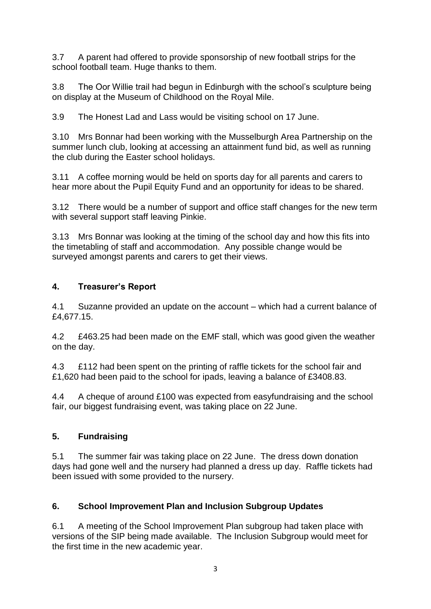3.7 A parent had offered to provide sponsorship of new football strips for the school football team. Huge thanks to them.

3.8 The Oor Willie trail had begun in Edinburgh with the school's sculpture being on display at the Museum of Childhood on the Royal Mile.

3.9 The Honest Lad and Lass would be visiting school on 17 June.

3.10 Mrs Bonnar had been working with the Musselburgh Area Partnership on the summer lunch club, looking at accessing an attainment fund bid, as well as running the club during the Easter school holidays.

3.11 A coffee morning would be held on sports day for all parents and carers to hear more about the Pupil Equity Fund and an opportunity for ideas to be shared.

3.12 There would be a number of support and office staff changes for the new term with several support staff leaving Pinkie.

3.13 Mrs Bonnar was looking at the timing of the school day and how this fits into the timetabling of staff and accommodation. Any possible change would be surveyed amongst parents and carers to get their views.

# **4. Treasurer's Report**

4.1 Suzanne provided an update on the account – which had a current balance of £4,677.15.

4.2 £463.25 had been made on the EMF stall, which was good given the weather on the day.

4.3 £112 had been spent on the printing of raffle tickets for the school fair and £1,620 had been paid to the school for ipads, leaving a balance of £3408.83.

4.4 A cheque of around £100 was expected from easyfundraising and the school fair, our biggest fundraising event, was taking place on 22 June.

## **5. Fundraising**

5.1 The summer fair was taking place on 22 June. The dress down donation days had gone well and the nursery had planned a dress up day. Raffle tickets had been issued with some provided to the nursery.

# **6. School Improvement Plan and Inclusion Subgroup Updates**

6.1 A meeting of the School Improvement Plan subgroup had taken place with versions of the SIP being made available. The Inclusion Subgroup would meet for the first time in the new academic year.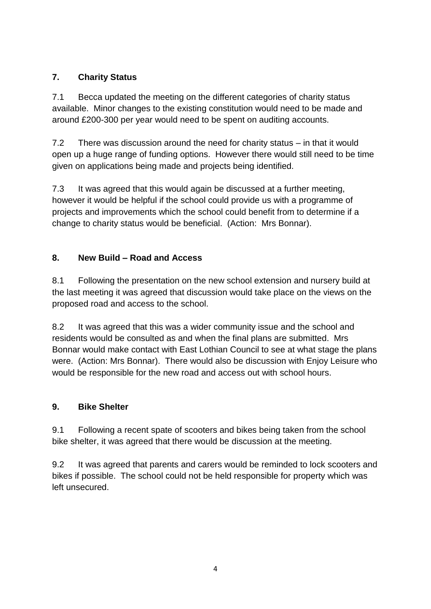# **7. Charity Status**

7.1 Becca updated the meeting on the different categories of charity status available. Minor changes to the existing constitution would need to be made and around £200-300 per year would need to be spent on auditing accounts.

7.2 There was discussion around the need for charity status – in that it would open up a huge range of funding options. However there would still need to be time given on applications being made and projects being identified.

7.3 It was agreed that this would again be discussed at a further meeting, however it would be helpful if the school could provide us with a programme of projects and improvements which the school could benefit from to determine if a change to charity status would be beneficial. (Action: Mrs Bonnar).

# **8. New Build – Road and Access**

8.1 Following the presentation on the new school extension and nursery build at the last meeting it was agreed that discussion would take place on the views on the proposed road and access to the school.

8.2 It was agreed that this was a wider community issue and the school and residents would be consulted as and when the final plans are submitted. Mrs Bonnar would make contact with East Lothian Council to see at what stage the plans were. (Action: Mrs Bonnar). There would also be discussion with Enjoy Leisure who would be responsible for the new road and access out with school hours.

## **9. Bike Shelter**

9.1 Following a recent spate of scooters and bikes being taken from the school bike shelter, it was agreed that there would be discussion at the meeting.

9.2 It was agreed that parents and carers would be reminded to lock scooters and bikes if possible. The school could not be held responsible for property which was left unsecured.